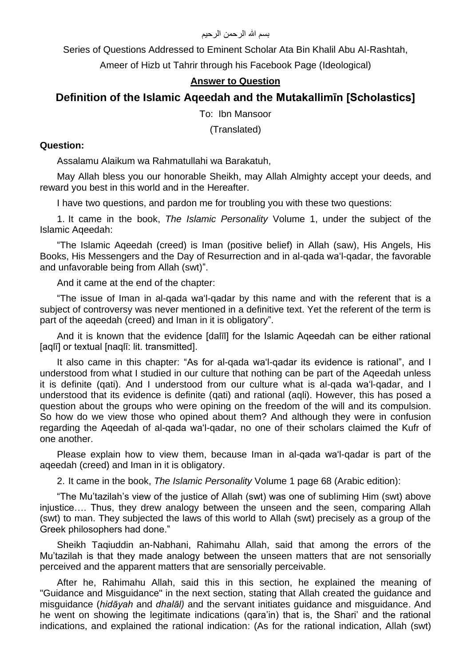## بسم الله الرحمن الرحيم

Series of Questions Addressed to Eminent Scholar Ata Bin Khalil Abu Al-Rashtah,

Ameer of Hizb ut Tahrir through his Facebook Page (Ideological)

## **Answer to Question**

# **Definition of the Islamic Aqeedah and the Mutakallimīn [Scholastics]**

To: Ibn Mansoor

(Translated)

## **Question:**

Assalamu Alaikum wa Rahmatullahi wa Barakatuh,

May Allah bless you our honorable Sheikh, may Allah Almighty accept your deeds, and reward you best in this world and in the Hereafter.

I have two questions, and pardon me for troubling you with these two questions:

1. It came in the book, *The Islamic Personality* Volume 1, under the subject of the Islamic Aqeedah:

"The Islamic Aqeedah (creed) is Iman (positive belief) in Allah (saw), His Angels, His Books, His Messengers and the Day of Resurrection and in al-qada wa'l-qadar, the favorable and unfavorable being from Allah (swt)".

And it came at the end of the chapter:

"The issue of Iman in al-qada wa'l-qadar by this name and with the referent that is a subject of controversy was never mentioned in a definitive text. Yet the referent of the term is part of the aqeedah (creed) and Iman in it is obligatory".

And it is known that the evidence [dalīl] for the Islamic Aqeedah can be either rational [aqlī] or textual [naqlī: lit. transmitted].

It also came in this chapter: "As for al-qada wa'l-qadar its evidence is rational", and I understood from what I studied in our culture that nothing can be part of the Aqeedah unless it is definite (qati). And I understood from our culture what is al-qada wa'l-qadar, and I understood that its evidence is definite (qati) and rational (aqli). However, this has posed a question about the groups who were opining on the freedom of the will and its compulsion. So how do we view those who opined about them? And although they were in confusion regarding the Aqeedah of al-qada wa'l-qadar, no one of their scholars claimed the Kufr of one another.

Please explain how to view them, because Iman in al-qada wa'l-qadar is part of the aqeedah (creed) and Iman in it is obligatory.

2. It came in the book, *The Islamic Personality* Volume 1 page 68 (Arabic edition):

"The Mu'tazilah's view of the justice of Allah (swt) was one of subliming Him (swt) above injustice…. Thus, they drew analogy between the unseen and the seen, comparing Allah (swt) to man. They subjected the laws of this world to Allah (swt) precisely as a group of the Greek philosophers had done."

Sheikh Taqiuddin an-Nabhani, Rahimahu Allah, said that among the errors of the Mu'tazilah is that they made analogy between the unseen matters that are not sensorially perceived and the apparent matters that are sensorially perceivable.

After he, Rahimahu Allah, said this in this section, he explained the meaning of "Guidance and Misguidance" in the next section, stating that Allah created the guidance and misguidance (*hidāyah* and *dhalāl)* and the servant initiates guidance and misguidance. And he went on showing the legitimate indications (qara'in) that is, the Shari' and the rational indications, and explained the rational indication: (As for the rational indication, Allah (swt)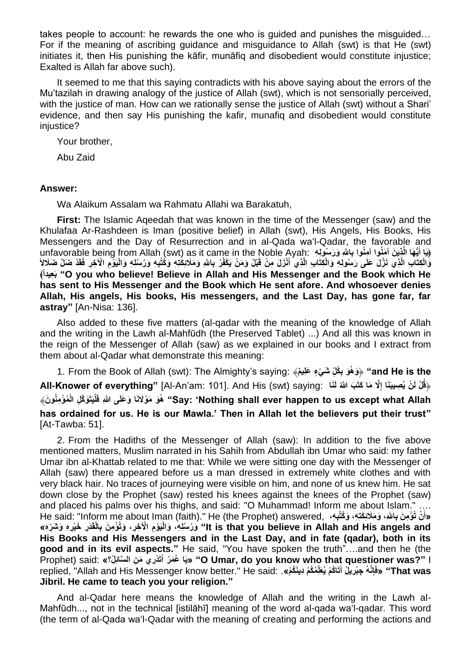takes people to account: he rewards the one who is guided and punishes the misguided… For if the meaning of ascribing guidance and misguidance to Allah (swt) is that He (swt) initiates it, then His punishing the kāfir, munāfiq and disobedient would constitute injustice; Exalted is Allah far above such).

It seemed to me that this saying contradicts with his above saying about the errors of the Mu'tazilah in drawing analogy of the justice of Allah (swt), which is not sensorially perceived, with the justice of man. How can we rationally sense the justice of Allah (swt) without a Shari' evidence, and then say His punishing the kafir, munafiq and disobedient would constitute injustice?

Your brother,

Abu Zaid

## **Answer:**

Wa Alaikum Assalam wa Rahmatu Allahi wa Barakatuh,

**First:** The Islamic Aqeedah that was known in the time of the Messenger (saw) and the Khulafaa Ar-Rashdeen is Iman (positive belief) in Allah (swt), His Angels, His Books, His Messengers and the Day of Resurrection and in al-Qada wa'l-Qadar, the favorable and unfavorable being from Allah (swt) as it came in the Noble Ayah: ﴿يَا أَيُّهَا الَّذِينَ آمَنُوا آمِنُوا بِالله وَرَسُولِهِ **َ** وَالْكِتَابِ الَّذِي نَزَّلَ عَلَى رَسُولِهِ وَالْكِتَابِ الَّذِي أَنْزَلَ مِنْ قَبْلُ وَمَنْ يَكْفُرْ بِاللّهِ وَمَلَائِكَتِهِ وَكُتُبِهِ وَرُسُلِهِ وَالْيَوْمِ الْآخِرِ فَقَدْ ضَلَّ ضَلَالٍاً ﴾**ًعيداِ َب" O you who believe! Believe in Allah and His Messenger and the Book which He has sent to His Messenger and the Book which He sent afore. And whosoever denies Allah, His angels, His books, His messengers, and the Last Day, has gone far, far astray"** [An-Nisa: 136].

Also added to these five matters (al-qadar with the meaning of the knowledge of Allah and the writing in the Lawh al-Mahfūdh (the Preserved Tablet) ...) And all this was known in the reign of the Messenger of Allah (saw) as we explained in our books and I extract from them about al-Qadar what demonstrate this meaning:

1. From the Book of Allah (swt): The Almighty's saying: ﴾**م ل َش ْي ٍء َعِلي ُك ِ َو ب ُوهَ"** ﴿ **and He is the ِ All-Knower of everything"** [Al-An'am: 101]. And His (swt) saying: **اَنَل َب ََّّللاُ َّال َما َكتَ ْل لَ ْن يُ ِصيبَنَا إ** ﴿**قُ ِ** Say: 'Nothing shall ever happen to us except what Allah'' هُوَ مَوْلَانَا وَعَلَى اللَّهِ فَلْيَتَوَكَّلِ الْمُؤْمِنُونَ﴾ **has ordained for us. He is our Mawla.' Then in Allah let the believers put their trust"** [At-Tawba: 51].

2. From the Hadiths of the Messenger of Allah (saw): In addition to the five above mentioned matters, Muslim narrated in his Sahih from Abdullah ibn Umar who said: my father Umar ibn al-Khattab related to me that: While we were sitting one day with the Messenger of Allah (saw) there appeared before us a man dressed in extremely white clothes and with very black hair. No traces of journeying were visible on him, and none of us knew him. He sat down close by the Prophet (saw) rested his knees against the knees of the Prophet (saw) and placed his palms over his thighs, and said: "O Muhammad! Inform me about Islam." …. «أَنْ تُؤْمِنَ بِاللهِ، وَمَلَائِكَتِهِ، وَكُتُبِهِ، He said: "Inform me about Iman (faith)." He (the Prophet) answered, **َ** lt is that you believe in Allah and His angels and'' وَرُسُلِهِ، وَالْيَوْمِ الْآخِرِ، وَتُؤْمِنَ بِالْقَدَرِ خَيْرِهِ وَشَرَّهِ» **His Books and His Messengers and in the Last Day, and in fate (qadar), both in its good and in its evil aspects."** He said, "You have spoken the truth"….and then he (the **تَ ْدِري َم ِن ال َّسائِ ُل؟«** :said) Prophet **أ رُ مَ عُ اَي" »O Umar, do you know who that questioner was?"** I **َ** That was «فَإِنَّهُ جِبْرِيلُ أَتَاكُمْ يُظَمِّكُمْ دِينَكُمْ». : replied, "Allah and His Messenger know better." He said **َ Jibril. He came to teach you your religion."**

And al-Qadar here means the knowledge of Allah and the writing in the Lawh al-Mahfūdh..., not in the technical [istilāhī] meaning of the word al-qada wa'l-qadar. This word (the term of al-Qada wa'l-Qadar with the meaning of creating and performing the actions and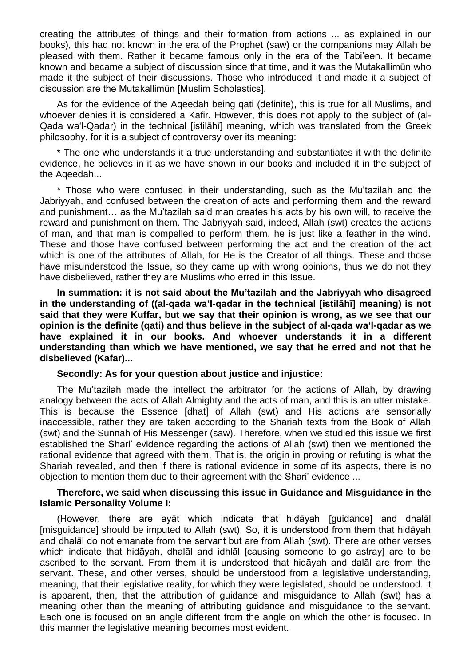creating the attributes of things and their formation from actions ... as explained in our books), this had not known in the era of the Prophet (saw) or the companions may Allah be pleased with them. Rather it became famous only in the era of the Tabi'een. It became known and became a subject of discussion since that time, and it was the Mutakallimūn who made it the subject of their discussions. Those who introduced it and made it a subject of discussion are the Mutakallimūn [Muslim Scholastics].

As for the evidence of the Aqeedah being qati (definite), this is true for all Muslims, and whoever denies it is considered a Kafir. However, this does not apply to the subject of (al-Qada wa'l-Qadar) in the technical [istilāhī] meaning, which was translated from the Greek philosophy, for it is a subject of controversy over its meaning:

\* The one who understands it a true understanding and substantiates it with the definite evidence, he believes in it as we have shown in our books and included it in the subject of the Aqeedah...

\* Those who were confused in their understanding, such as the Mu'tazilah and the Jabriyyah, and confused between the creation of acts and performing them and the reward and punishment… as the Mu'tazilah said man creates his acts by his own will, to receive the reward and punishment on them. The Jabriyyah said, indeed, Allah (swt) creates the actions of man, and that man is compelled to perform them, he is just like a feather in the wind. These and those have confused between performing the act and the creation of the act which is one of the attributes of Allah, for He is the Creator of all things. These and those have misunderstood the Issue, so they came up with wrong opinions, thus we do not they have disbelieved, rather they are Muslims who erred in this Issue.

**In summation: it is not said about the Mu'tazilah and the Jabriyyah who disagreed in the understanding of ((al-qada wa'l-qadar in the technical [istilāhī] meaning) is not said that they were Kuffar, but we say that their opinion is wrong, as we see that our opinion is the definite (qati) and thus believe in the subject of al-qada wa'l-qadar as we have explained it in our books. And whoever understands it in a different understanding than which we have mentioned, we say that he erred and not that he disbelieved (Kafar)...**

## **Secondly: As for your question about justice and injustice:**

The Mu'tazilah made the intellect the arbitrator for the actions of Allah, by drawing analogy between the acts of Allah Almighty and the acts of man, and this is an utter mistake. This is because the Essence [dhat] of Allah (swt) and His actions are sensorially inaccessible, rather they are taken according to the Shariah texts from the Book of Allah (swt) and the Sunnah of His Messenger (saw). Therefore, when we studied this issue we first established the Shari' evidence regarding the actions of Allah (swt) then we mentioned the rational evidence that agreed with them. That is, the origin in proving or refuting is what the Shariah revealed, and then if there is rational evidence in some of its aspects, there is no objection to mention them due to their agreement with the Shari' evidence ...

#### **Therefore, we said when discussing this issue in Guidance and Misguidance in the Islamic Personality Volume I:**

(However, there are ayāt which indicate that hidāyah [guidance] and dhalāl [misguidance] should be imputed to Allah (swt). So, it is understood from them that hidāyah and dhalāl do not emanate from the servant but are from Allah (swt). There are other verses which indicate that hidāyah, dhalāl and idhlāl [causing someone to go astray] are to be ascribed to the servant. From them it is understood that hidāyah and dalāl are from the servant. These, and other verses, should be understood from a legislative understanding, meaning, that their legislative reality, for which they were legislated, should be understood. It is apparent, then, that the attribution of guidance and misguidance to Allah (swt) has a meaning other than the meaning of attributing guidance and misguidance to the servant. Each one is focused on an angle different from the angle on which the other is focused. In this manner the legislative meaning becomes most evident.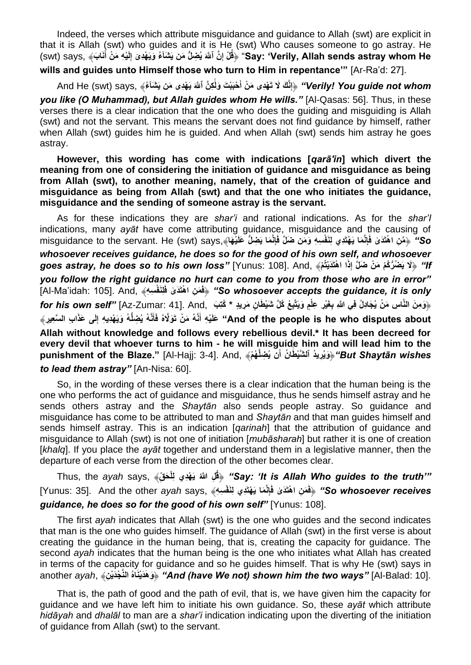Indeed, the verses which attribute misguidance and guidance to Allah (swt) are explicit in that it is Allah (swt) who guides and it is He (swt) Who causes someone to go astray. He Say: 'Verily, Allah sends astray whom He' ﴿قُلْ إِنَّ ٱللَّهَ يُضِلُّ مَن يَشْنَآءُ وَيَهْدِىٓ إِلَيْهِ مَنْ أَنَابَ﴾ ,swt) says **َ ِلَ ِ wills and guides unto Himself those who turn to Him in repentance'"** [Ar-Ra'd: 27].

Verily! You guide not whom" ﴿إِنَّكَ لَا تَهْدِى مَنْ أَحْبَبْتَ وَلَكِنَّ ٱللَّهَ يَهْدِى مَن يَشْنَأْهُ﴾ "And He (swt) says, **َٰ َ** *you like (O Muhammad), but Allah guides whom He wills."* [Al-Qasas: 56]. Thus, in these verses there is a clear indication that the one who does the guiding and misguiding is Allah (swt) and not the servant. This means the servant does not find guidance by himself, rather when Allah (swt) guides him he is guided. And when Allah (swt) sends him astray he goes astray.

## **However, this wording has come with indications [***qarā'in***] which divert the meaning from one of considering the initiation of guidance and misguidance as being from Allah (swt), to another meaning, namely, that of the creation of guidance and misguidance as being from Allah (swt) and that the one who initiates the guidance, misguidance and the sending of someone astray is the servant.**

As for these indications they are *shar'i* and rational indications. As for the *shar'I*  indications, many *ayāt* have come attributing guidance, misguidance and the causing of So'' ﴿مَنِ اهْتَدَىٰ فَإِنَّمَا يَهْتَدِي لِنَفْسِهِ وَمَن ضَلَّ فَإِنَّمَا يَضِلُّ عَلَيْهَا﴾,misguidance to the servant. He (swt) says *whosoever receives guidance, he does so for the good of his own self, and whosoever*  ff" ﴿لَا يَضُرُّكُمْ مَنْ ضَلَّ إِذَا اهْتَدَيْتُمْ﴾ ,Yunus: 108]. And وَgoes astray, he does so to his own loss" [Yunus: 108] *you follow the right guidance no hurt can come to you from those who are in error"*  **فِلنَ ْف ِس ِه**﴾ ,And .]105 :idah'Ma-Al[ **ف َم ِن ا ْهتَ َد َٰى َ َ**﴿ *"So whosoever accepts the guidance, it is only*  وَمِنَ النَّاسِ مَنْ يُجَادِلُ فِي اللَّهِ بِغَيْرِ عِلْمٍ وَيَتَّبِعُ كُلَّ شَيْطَانٍ مَرِيدٍ \* كُتِبَ Az-Zumar: 41]. And, وَمِنَ النَّاسِ مَنْ يُجَادِلُ فِي اللَّهِ بِغَيْرِ عِلْمٍ وَيَتَّبِعُ كُلَّ شَيْطَانٍ مَرِيدٍ **َ** And of the people is he who disputes about" عَلَيْهِ أَنَّهُ مَنْ تَوَلَّاهُ فَأَنَّهُ يُضِلُّهُ وَيَهْدِيهِ إِلَى عَذَابِ السَّعِيرِ ﴾ **َ Allah without knowledge and follows every rebellious devil.\* It has been decreed for every devil that whoever turns to him - he will misguide him and will lead him to the**  But Shaytān wishes"﴿وَيُرِيدُ ٱلشَّيْطُانُ أَنَّ يُضِلُّهُمْ﴾ ,Punishment of the Blaze." [Al-Hajj: 3-4] **َٰ** *to lead them astray"* [An-Nisa: 60].

So, in the wording of these verses there is a clear indication that the human being is the one who performs the act of guidance and misguidance, thus he sends himself astray and he sends others astray and the *Shaytān* also sends people astray. So guidance and misguidance has come to be attributed to man and *Shaytān* and that man guides himself and sends himself astray. This is an indication [*qarinah*] that the attribution of guidance and misguidance to Allah (swt) is not one of initiation [*mubāsharah*] but rather it is one of creation [*khalq*]. If you place the *ayāt* together and understand them in a legislative manner, then the departure of each verse from the direction of the other becomes clear.

Thus, the *ayah* says, ﴾**قِ ل َح يَ ْهِدي ِلْ ِل ََّّللاُ ُق***"* ﴿*Say: 'It is Allah Who guides to the truth'"* So whosoever receives' ﴿فَمَنِ اهْتَدَىٰ فَإِنَّمَا يَهْتَدِي لِنَفْسِهِ﴾ "Yunus: 35]. And the other *ayah* says guidance, he does so for the good of his own self" [Yunus: 108].

The first *ayah* indicates that Allah (swt) is the one who guides and the second indicates that man is the one who guides himself. The guidance of Allah (swt) in the first verse is about creating the guidance in the human being, that is, creating the capacity for guidance. The second *ayah* indicates that the human being is the one who initiates what Allah has created in terms of the capacity for guidance and so he guides himself. That is why He (swt) says in another *ayah*, ﴾**نِ ْج َدْي َّالن ُاهَينْدَ هَ وَ***"* ﴿ *And (have We not) shown him the two ways"* [Al-Balad: 10].

That is, the path of good and the path of evil, that is, we have given him the capacity for guidance and we have left him to initiate his own guidance. So, these *ayāt* which attribute *hidāyah* and *dhalāl* to man are a *shar'i* indication indicating upon the diverting of the initiation of guidance from Allah (swt) to the servant.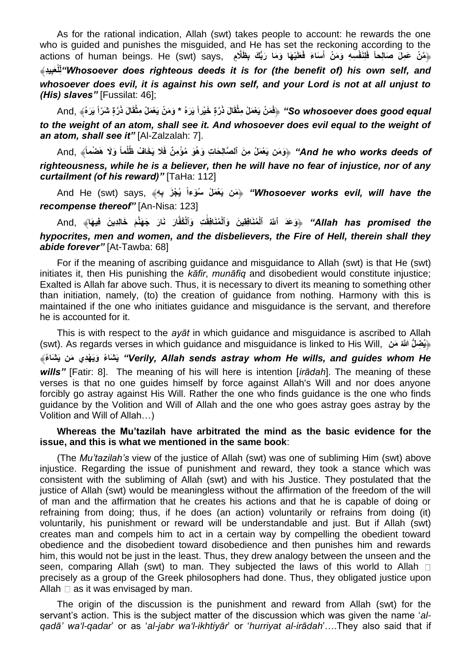As for the rational indication, Allah (swt) takes people to account: he rewards the one who is guided and punishes the misguided, and He has set the reckoning according to the actions of human beings. He (swt) says, بِظَلَّامٍ actions of human beings. He (swt) says, بِهَنْ عَمِلَ **ِ َ َ ِيِد بَعْلِ** ﴾ **ل***"Whosoever does righteous deeds it is for (the benefit of) his own self, and whosoever does evil, it is against his own self, and your Lord is not at all unjust to (His) slaves"* [Fussilat: 46];

So whosoever does good equal!" ﴿فَمَنْ يَعْمَلْ مِثْقَالَ ذَرَّةٍ خَيْراً يَرَهُ \* وَمَنْ يَعْمَلْ مِثْقَالَ ذَرَّةٍ شَرّاً يَرَهُ﴾ "And *to the weight of an atom, shall see it. And whosoever does evil equal to the weight of an atom, shall see it"* [Al-Zalzalah: 7].

And he who works deeds of" ﴿وَمَن يَعْمَلْ مِنَ ٱلصَّالِحَاتِ وَهُوَ مُؤْمِنٌ فَلَا يَخَافُ ظُلْماً وَلَا هَضْماً﴾ "And he who works deeds of *righteousness, while he is a believer, then he will have no fear of injustice, nor of any curtailment (of his reward)"* [TaHa: 112]

And He (swt) says, ﴿مَن يَعْمَلْ سُوَءاً يُجْزَ بِهِ $\ast$  says, مَامَ ) and He (swt) says,  $\ast$ *recompense thereof"* [An-Nisa: 123]

Allah has promised the" ﴿وَعَدَ ٱللَّهُ ٱلْمُنَافِقِينَ وَٱلْمُنَافِقَتِ وَٱلْعُفَّارَ نَارَ جَهَنَّمَ خَالِدِينَ فِيهَا﴾ "And **َٰ** *hypocrites, men and women, and the disbelievers, the Fire of Hell, therein shall they abide forever"* [At-Tawba: 68]

For if the meaning of ascribing guidance and misguidance to Allah (swt) is that He (swt) initiates it, then His punishing the *kāfir*, *munāfiq* and disobedient would constitute injustice; Exalted is Allah far above such. Thus, it is necessary to divert its meaning to something other than initiation, namely, (to) the creation of guidance from nothing. Harmony with this is maintained if the one who initiates guidance and misguidance is the servant, and therefore he is accounted for it.

This is with respect to the *ayāt* in which guidance and misguidance is ascribed to Allah (swt). As regards verses in which guidance and misguidance is linked to His Will, **منَ ُللاََّّ لُّ ضِ ُي**﴿ ﴾**ءُ شاَ َي منَ ديِهْ َويَ ءُ شاَ َي***" Verily, Allah sends astray whom He wills, and guides whom He wills"* [Fatir: 8]. The meaning of his will here is intention [*irādah*]. The meaning of these verses is that no one guides himself by force against Allah's Will and nor does anyone forcibly go astray against His Will. Rather the one who finds guidance is the one who finds guidance by the Volition and Will of Allah and the one who goes astray goes astray by the Volition and Will of Allah…)

#### **Whereas the Mu'tazilah have arbitrated the mind as the basic evidence for the issue, and this is what we mentioned in the same book**:

(The *Mu'tazilah's* view of the justice of Allah (swt) was one of subliming Him (swt) above injustice. Regarding the issue of punishment and reward, they took a stance which was consistent with the subliming of Allah (swt) and with his Justice. They postulated that the justice of Allah (swt) would be meaningless without the affirmation of the freedom of the will of man and the affirmation that he creates his actions and that he is capable of doing or refraining from doing; thus, if he does (an action) voluntarily or refrains from doing (it) voluntarily, his punishment or reward will be understandable and just. But if Allah (swt) creates man and compels him to act in a certain way by compelling the obedient toward obedience and the disobedient toward disobedience and then punishes him and rewards him, this would not be just in the least. Thus, they drew analogy between the unseen and the seen, comparing Allah (swt) to man. They subjected the laws of this world to Allah  $\Box$ precisely as a group of the Greek philosophers had done. Thus, they obligated justice upon Allah  $\square$  as it was envisaged by man.

The origin of the discussion is the punishment and reward from Allah (swt) for the servant's action. This is the subject matter of the discussion which was given the name '*alqadā' wa'l-qadar*' or as '*al-jabr wa'l-ikhtiyār*' or '*hurriyat al-irādah*'….They also said that if